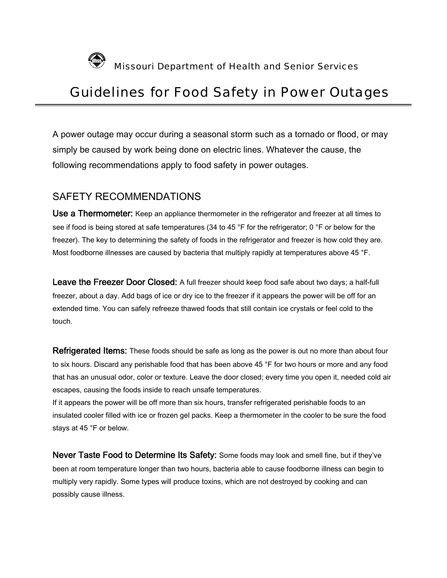

Missouri Department of Health and Senior Services

# Guidelines for Food Safety in Power Outages

A power outage may occur during a seasonal storm such as a [tornado](http://hgic.clemson.edu/factsheets/HGIC3820.htm) or [flood](http://hgic.clemson.edu/factsheets/HGIC3800.htm), or may simply be caused by work being done on electric lines. Whatever the cause, the following recommendations apply to food safety in power outages.

#### SAFETY RECOMMENDATIONS

Use a Thermometer: Keep an appliance thermometer in the refrigerator and freezer at all times to see if food is being stored at safe temperatures (34 to 45 °F for the refrigerator; 0 °F or below for the freezer). The key to determining the safety of foods in the refrigerator and freezer is how cold they are. Most [foodborne illnesses](http://hgic.clemson.edu/factsheets/HGIC3620.htm) are caused by bacteria that multiply rapidly at temperatures above 45 °F.

Leave the Freezer Door Closed: A full freezer should keep food safe about two days; a half-full freezer, about a day. Add bags of ice or dry ice to the freezer if it appears the power will be off for an extended time. You can safely refreeze thawed foods that still contain ice crystals or feel cold to the touch.

**Refrigerated Items:** These foods should be safe as long as the power is out no more than about four to six hours. Discard any perishable food that has been above 45 °F for two hours or more and any food that has an unusual odor, color or texture. Leave the door closed; every time you open it, needed cold air escapes, causing the foods inside to reach unsafe temperatures.

If it appears the power will be off more than six hours, transfer refrigerated perishable foods to an insulated cooler filled with ice or frozen gel packs. Keep a thermometer in the cooler to be sure the food stays at 45 °F or below.

Never Taste Food to Determine Its Safety: Some foods may look and smell fine, but if they've been at room temperature longer than two hours, bacteria able to cause foodborne illness can begin to multiply very rapidly. Some types will produce toxins, which are not destroyed by cooking and can possibly cause illness.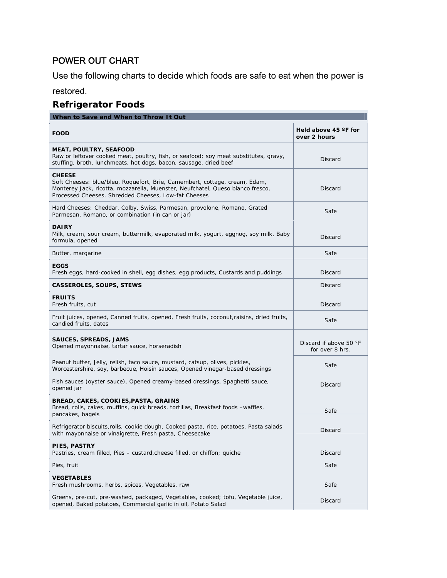### POWER OUT CHART

Use the following charts to decide which foods are safe to eat when the power is

restored.

## **Refrigerator Foods**

| When to Save and When to Throw It Out                                                                                                                                                                                                 |                                               |
|---------------------------------------------------------------------------------------------------------------------------------------------------------------------------------------------------------------------------------------|-----------------------------------------------|
| <b>FOOD</b>                                                                                                                                                                                                                           | Held above 45 $\degree$ F for<br>over 2 hours |
| <b>MEAT, POULTRY, SEAFOOD</b><br>Raw or leftover cooked meat, poultry, fish, or seafood; soy meat substitutes, gravy,<br>stuffing, broth, lunchmeats, hot dogs, bacon, sausage, dried beef                                            | <b>Discard</b>                                |
| <b>CHEESE</b><br>Soft Cheeses: blue/bleu, Roquefort, Brie, Camembert, cottage, cream, Edam,<br>Monterey Jack, ricotta, mozzarella, Muenster, Neufchatel, Queso blanco fresco,<br>Processed Cheeses, Shredded Cheeses, Low-fat Cheeses | <b>Discard</b>                                |
| Hard Cheeses: Cheddar, Colby, Swiss, Parmesan, provolone, Romano, Grated<br>Parmesan, Romano, or combination (in can or jar)                                                                                                          | Safe                                          |
| <b>DAIRY</b><br>Milk, cream, sour cream, buttermilk, evaporated milk, yogurt, eggnog, soy milk, Baby<br>formula, opened                                                                                                               | <b>Discard</b>                                |
| Butter, margarine                                                                                                                                                                                                                     | Safe                                          |
| <b>EGGS</b><br>Fresh eggs, hard-cooked in shell, egg dishes, egg products, Custards and puddings                                                                                                                                      | <b>Discard</b>                                |
| <b>CASSEROLES, SOUPS, STEWS</b>                                                                                                                                                                                                       | <b>Discard</b>                                |
| <b>FRUITS</b><br>Fresh fruits, cut                                                                                                                                                                                                    | <b>Discard</b>                                |
| Fruit juices, opened, Canned fruits, opened, Fresh fruits, coconut, raisins, dried fruits,<br>candied fruits, dates                                                                                                                   | Safe                                          |
| <b>SAUCES, SPREADS, JAMS</b><br>Opened mayonnaise, tartar sauce, horseradish                                                                                                                                                          | Discard if above 50 °F<br>for over 8 hrs.     |
| Peanut butter, Jelly, relish, taco sauce, mustard, catsup, olives, pickles,<br>Worcestershire, soy, barbecue, Hoisin sauces, Opened vinegar-based dressings                                                                           | Safe                                          |
| Fish sauces (oyster sauce), Opened creamy-based dressings, Spaghetti sauce,<br>opened jar                                                                                                                                             | Discard                                       |
| BREAD, CAKES, COOKIES, PASTA, GRAINS<br>Bread, rolls, cakes, muffins, quick breads, tortillas, Breakfast foods -waffles,<br>pancakes, bagels                                                                                          | Safe                                          |
| Refrigerator biscuits, rolls, cookie dough, Cooked pasta, rice, potatoes, Pasta salads<br>with mayonnaise or vinaigrette, Fresh pasta, Cheesecake                                                                                     | Discard                                       |
| PIES, PASTRY<br>Pastries, cream filled, Pies – custard, cheese filled, or chiffon; quiche                                                                                                                                             | Discard                                       |
| Pies, fruit                                                                                                                                                                                                                           | Safe                                          |
| <b>VEGETABLES</b><br>Fresh mushrooms, herbs, spices, Vegetables, raw                                                                                                                                                                  | Safe                                          |
| Greens, pre-cut, pre-washed, packaged, Vegetables, cooked; tofu, Vegetable juice,<br>opened, Baked potatoes, Commercial garlic in oil, Potato Salad                                                                                   | <b>Discard</b>                                |